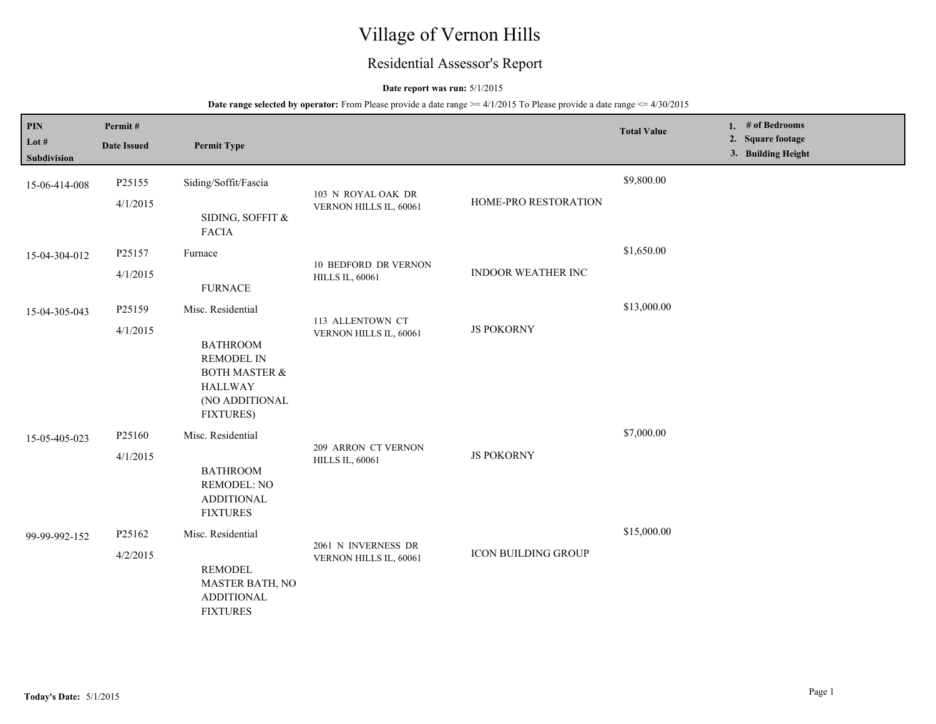# Village of Vernon Hills

## Residential Assessor's Report

### **Date report was run:** 5/1/2015

| PIN<br>Lot $#$<br>Subdivision | Permit#<br><b>Date Issued</b> | <b>Permit Type</b>                                                                                                                            |                                                       |                            | <b>Total Value</b> | 1. # of Bedrooms<br>2. Square footage<br>3. Building Height |
|-------------------------------|-------------------------------|-----------------------------------------------------------------------------------------------------------------------------------------------|-------------------------------------------------------|----------------------------|--------------------|-------------------------------------------------------------|
| 15-06-414-008                 | P25155<br>4/1/2015            | Siding/Soffit/Fascia<br>SIDING, SOFFIT &<br><b>FACIA</b>                                                                                      | 103 N ROYAL OAK DR<br>VERNON HILLS IL, 60061          | HOME-PRO RESTORATION       | \$9,800.00         |                                                             |
| 15-04-304-012                 | P25157<br>4/1/2015            | Furnace<br><b>FURNACE</b>                                                                                                                     | <b>10 BEDFORD DR VERNON</b><br><b>HILLS IL, 60061</b> | <b>INDOOR WEATHER INC</b>  | \$1,650.00         |                                                             |
| 15-04-305-043                 | P25159<br>4/1/2015            | Misc. Residential<br><b>BATHROOM</b><br><b>REMODEL IN</b><br><b>BOTH MASTER &amp;</b><br><b>HALLWAY</b><br>(NO ADDITIONAL<br><b>FIXTURES)</b> | 113 ALLENTOWN CT<br>VERNON HILLS IL, 60061            | <b>JS POKORNY</b>          | \$13,000.00        |                                                             |
| 15-05-405-023                 | P25160<br>4/1/2015            | Misc. Residential<br><b>BATHROOM</b><br><b>REMODEL: NO</b><br><b>ADDITIONAL</b><br><b>FIXTURES</b>                                            | 209 ARRON CT VERNON<br><b>HILLS IL, 60061</b>         | <b>JS POKORNY</b>          | \$7,000.00         |                                                             |
| 99-99-992-152                 | P25162<br>4/2/2015            | Misc. Residential<br><b>REMODEL</b><br>MASTER BATH, NO<br><b>ADDITIONAL</b><br><b>FIXTURES</b>                                                | 2061 N INVERNESS DR<br>VERNON HILLS IL, 60061         | <b>ICON BUILDING GROUP</b> | \$15,000.00        |                                                             |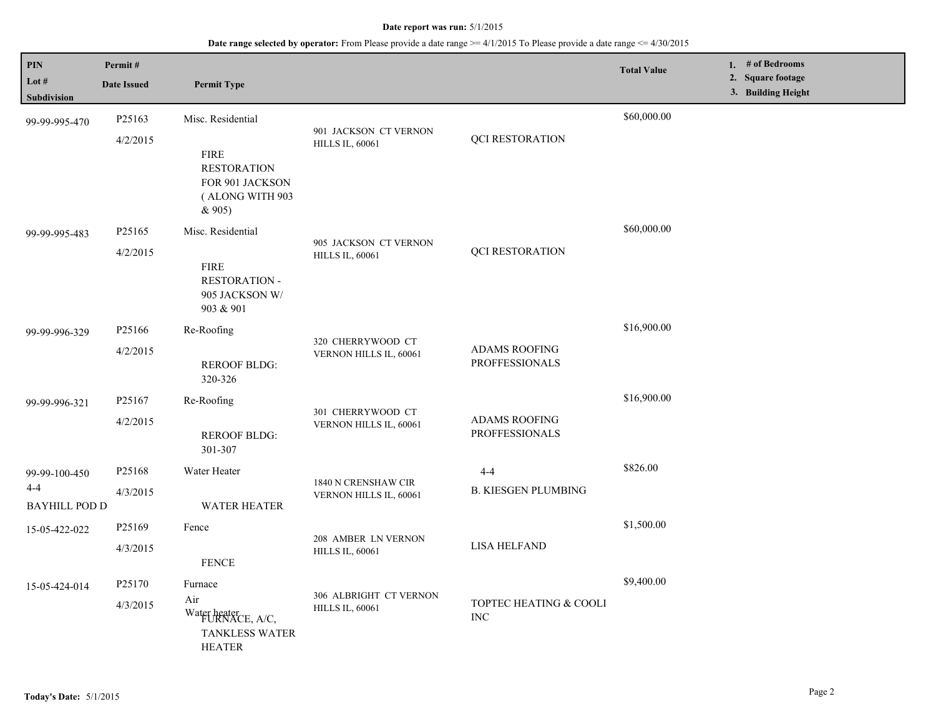| PIN                         | Permit#            |                                                                                   |                                                  |                                               | <b>Total Value</b> | 1. # of Bedrooms                        |
|-----------------------------|--------------------|-----------------------------------------------------------------------------------|--------------------------------------------------|-----------------------------------------------|--------------------|-----------------------------------------|
| Lot #<br>Subdivision        | <b>Date Issued</b> | <b>Permit Type</b>                                                                |                                                  |                                               |                    | 2. Square footage<br>3. Building Height |
| 99-99-995-470               | P25163             | Misc. Residential                                                                 |                                                  |                                               | \$60,000.00        |                                         |
|                             | 4/2/2015           | <b>FIRE</b><br><b>RESTORATION</b><br>FOR 901 JACKSON<br>(ALONG WITH 903<br>& 905) | 901 JACKSON CT VERNON<br><b>HILLS IL, 60061</b>  | <b>QCI RESTORATION</b>                        |                    |                                         |
| 99-99-995-483               | P <sub>25165</sub> | Misc. Residential                                                                 | 905 JACKSON CT VERNON                            |                                               | \$60,000.00        |                                         |
|                             | 4/2/2015           | <b>FIRE</b><br>RESTORATION -<br>905 JACKSON W/<br>903 & 901                       | <b>HILLS IL, 60061</b>                           | <b>QCI RESTORATION</b>                        |                    |                                         |
| 99-99-996-329               | P <sub>25166</sub> | Re-Roofing                                                                        | 320 CHERRYWOOD CT                                |                                               | \$16,900.00        |                                         |
|                             | 4/2/2015           | <b>REROOF BLDG:</b><br>320-326                                                    | VERNON HILLS IL, 60061                           | <b>ADAMS ROOFING</b><br><b>PROFFESSIONALS</b> |                    |                                         |
| 99-99-996-321               | P25167             | Re-Roofing                                                                        |                                                  | <b>ADAMS ROOFING</b><br><b>PROFFESSIONALS</b> | \$16,900.00        |                                         |
|                             | 4/2/2015           | <b>REROOF BLDG:</b><br>301-307                                                    | 301 CHERRYWOOD CT<br>VERNON HILLS IL, 60061      |                                               |                    |                                         |
| 99-99-100-450               | P25168             | Water Heater                                                                      |                                                  | $4 - 4$                                       | \$826.00           |                                         |
| 4-4<br><b>BAYHILL POD D</b> | 4/3/2015           | <b>WATER HEATER</b>                                                               | 1840 N CRENSHAW CIR<br>VERNON HILLS IL, 60061    | <b>B. KIESGEN PLUMBING</b>                    |                    |                                         |
| 15-05-422-022               | P25169             | Fence                                                                             |                                                  |                                               | \$1,500.00         |                                         |
|                             | 4/3/2015           | <b>FENCE</b>                                                                      | 208 AMBER LN VERNON<br><b>HILLS IL, 60061</b>    | <b>LISA HELFAND</b>                           |                    |                                         |
| 15-05-424-014               | P25170             | Furnace                                                                           |                                                  | TOPTEC HEATING & COOLI<br><b>INC</b>          | \$9,400.00         |                                         |
|                             | 4/3/2015           | Air<br>Water heater<br>FURNACE, A/C,<br><b>TANKLESS WATER</b><br><b>HEATER</b>    | 306 ALBRIGHT CT VERNON<br><b>HILLS IL, 60061</b> |                                               |                    |                                         |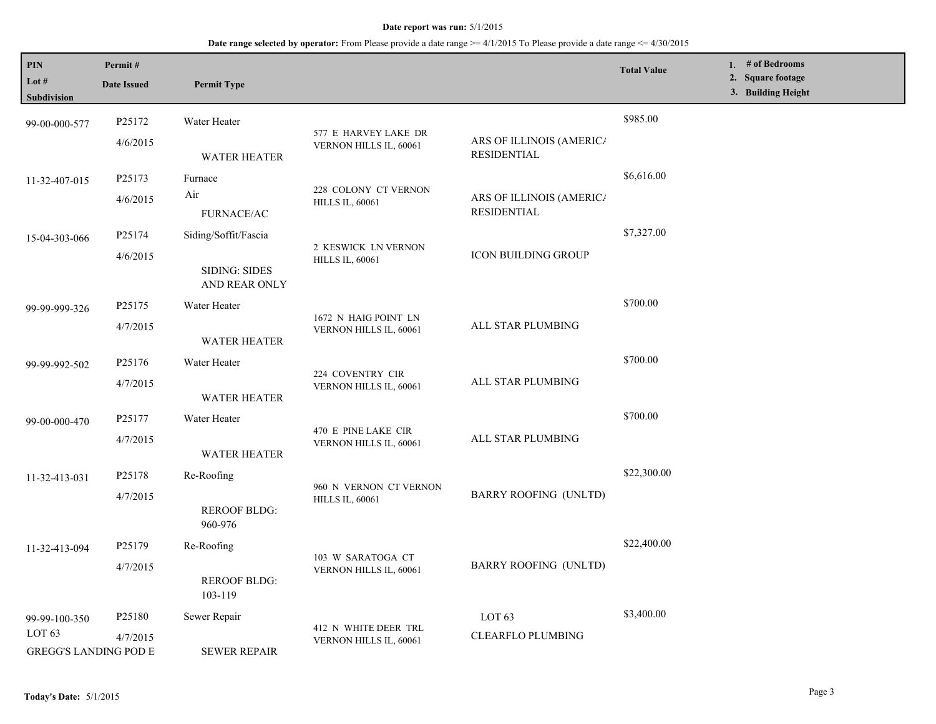| <b>PIN</b><br>Lot $#$<br>Subdivision              | Permit#<br><b>Date Issued</b> | <b>Permit Type</b>                    |                                                  |                                                | <b>Total Value</b> | 1. # of Bedrooms<br>2. Square footage<br>3. Building Height |
|---------------------------------------------------|-------------------------------|---------------------------------------|--------------------------------------------------|------------------------------------------------|--------------------|-------------------------------------------------------------|
| 99-00-000-577                                     | P25172                        | Water Heater                          |                                                  |                                                | \$985.00           |                                                             |
|                                                   | 4/6/2015                      | <b>WATER HEATER</b>                   | 577 E HARVEY LAKE DR<br>VERNON HILLS IL, 60061   | ARS OF ILLINOIS (AMERICA<br><b>RESIDENTIAL</b> |                    |                                                             |
| 11-32-407-015                                     | P <sub>25173</sub>            | Furnace                               |                                                  |                                                | \$6,616.00         |                                                             |
|                                                   | 4/6/2015                      | Air<br><b>FURNACE/AC</b>              | 228 COLONY CT VERNON<br><b>HILLS IL, 60061</b>   | ARS OF ILLINOIS (AMERICA<br><b>RESIDENTIAL</b> |                    |                                                             |
| 15-04-303-066                                     | P25174                        | Siding/Soffit/Fascia                  |                                                  |                                                | \$7,327.00         |                                                             |
|                                                   | 4/6/2015                      | <b>SIDING: SIDES</b><br>AND REAR ONLY | 2 KESWICK LN VERNON<br><b>HILLS IL, 60061</b>    | <b>ICON BUILDING GROUP</b>                     |                    |                                                             |
| 99-99-999-326                                     | P25175                        | Water Heater                          |                                                  |                                                | \$700.00           |                                                             |
|                                                   | 4/7/2015                      | <b>WATER HEATER</b>                   | 1672 N HAIG POINT LN<br>VERNON HILLS IL, 60061   | ALL STAR PLUMBING                              |                    |                                                             |
| 99-99-992-502                                     | P <sub>25176</sub>            | Water Heater                          |                                                  |                                                | \$700.00           |                                                             |
|                                                   | 4/7/2015                      | <b>WATER HEATER</b>                   | 224 COVENTRY CIR<br>VERNON HILLS IL, 60061       | ALL STAR PLUMBING                              |                    |                                                             |
| 99-00-000-470                                     | P25177                        | Water Heater                          |                                                  | ALL STAR PLUMBING                              | \$700.00           |                                                             |
|                                                   | 4/7/2015                      | <b>WATER HEATER</b>                   | 470 E PINE LAKE CIR<br>VERNON HILLS IL, 60061    |                                                |                    |                                                             |
| 11-32-413-031                                     | P25178                        | Re-Roofing                            |                                                  |                                                | \$22,300.00        |                                                             |
|                                                   | 4/7/2015                      | <b>REROOF BLDG:</b><br>960-976        | 960 N VERNON CT VERNON<br><b>HILLS IL, 60061</b> | <b>BARRY ROOFING (UNLTD)</b>                   |                    |                                                             |
| 11-32-413-094                                     | P <sub>25179</sub>            | Re-Roofing                            |                                                  |                                                | \$22,400.00        |                                                             |
|                                                   | 4/7/2015                      | <b>REROOF BLDG:</b><br>103-119        | 103 W SARATOGA CT<br>VERNON HILLS IL, 60061      | <b>BARRY ROOFING (UNLTD)</b>                   |                    |                                                             |
| 99-99-100-350                                     | P <sub>25180</sub>            | Sewer Repair                          |                                                  | LOT <sub>63</sub>                              | \$3,400.00         |                                                             |
| LOT <sub>63</sub><br><b>GREGG'S LANDING POD E</b> | 4/7/2015                      | <b>SEWER REPAIR</b>                   | 412 N WHITE DEER TRL<br>VERNON HILLS IL, 60061   | <b>CLEARFLO PLUMBING</b>                       |                    |                                                             |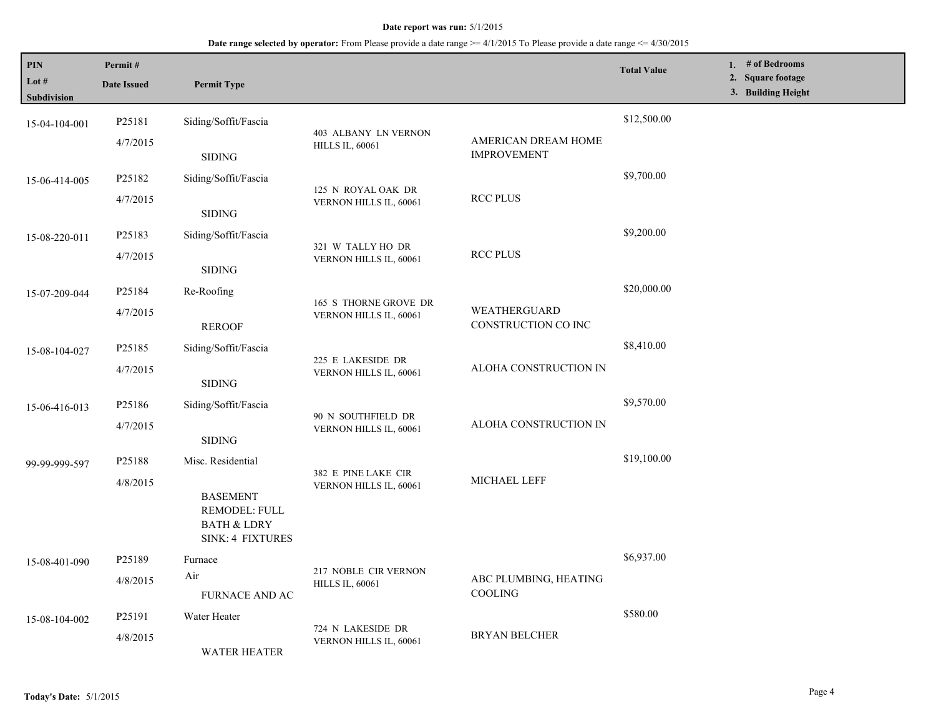| PIN<br>Lot #<br>Subdivision | Permit#<br><b>Date Issued</b> | <b>Permit Type</b>                                                                                         |                                                 |                                           | <b>Total Value</b> | 1. # of Bedrooms<br>2. Square footage<br>3. Building Height |
|-----------------------------|-------------------------------|------------------------------------------------------------------------------------------------------------|-------------------------------------------------|-------------------------------------------|--------------------|-------------------------------------------------------------|
| 15-04-104-001               | P25181<br>4/7/2015            | Siding/Soffit/Fascia<br><b>SIDING</b>                                                                      | 403 ALBANY LN VERNON<br><b>HILLS IL, 60061</b>  | AMERICAN DREAM HOME<br><b>IMPROVEMENT</b> | \$12,500.00        |                                                             |
| 15-06-414-005               | P25182<br>4/7/2015            | Siding/Soffit/Fascia<br><b>SIDING</b>                                                                      | 125 N ROYAL OAK DR<br>VERNON HILLS IL, 60061    | <b>RCC PLUS</b>                           | \$9,700.00         |                                                             |
| 15-08-220-011               | P25183<br>4/7/2015            | Siding/Soffit/Fascia<br><b>SIDING</b>                                                                      | 321 W TALLY HO DR<br>VERNON HILLS IL, 60061     | <b>RCC PLUS</b>                           | \$9,200.00         |                                                             |
| 15-07-209-044               | P25184<br>4/7/2015            | Re-Roofing<br><b>REROOF</b>                                                                                | 165 S THORNE GROVE DR<br>VERNON HILLS IL, 60061 | WEATHERGUARD<br>CONSTRUCTION CO INC       | \$20,000.00        |                                                             |
| 15-08-104-027               | P25185<br>4/7/2015            | Siding/Soffit/Fascia<br><b>SIDING</b>                                                                      | 225 E LAKESIDE DR<br>VERNON HILLS IL, 60061     | ALOHA CONSTRUCTION IN                     | \$8,410.00         |                                                             |
| 15-06-416-013               | P25186<br>4/7/2015            | Siding/Soffit/Fascia<br><b>SIDING</b>                                                                      | 90 N SOUTHFIELD DR<br>VERNON HILLS IL, 60061    | ALOHA CONSTRUCTION IN                     | \$9,570.00         |                                                             |
| 99-99-999-597               | P25188<br>4/8/2015            | Misc. Residential<br><b>BASEMENT</b><br>REMODEL: FULL<br><b>BATH &amp; LDRY</b><br><b>SINK: 4 FIXTURES</b> | 382 E PINE LAKE CIR<br>VERNON HILLS IL, 60061   | MICHAEL LEFF                              | \$19,100.00        |                                                             |
| 15-08-401-090               | P25189<br>4/8/2015            | Furnace<br>Air<br><b>FURNACE AND AC</b>                                                                    | 217 NOBLE CIR VERNON<br><b>HILLS IL, 60061</b>  | ABC PLUMBING, HEATING<br>COOLING          | \$6,937.00         |                                                             |
| 15-08-104-002               | P25191<br>4/8/2015            | Water Heater<br><b>WATER HEATER</b>                                                                        | 724 N LAKESIDE DR<br>VERNON HILLS IL, 60061     | <b>BRYAN BELCHER</b>                      | \$580.00           |                                                             |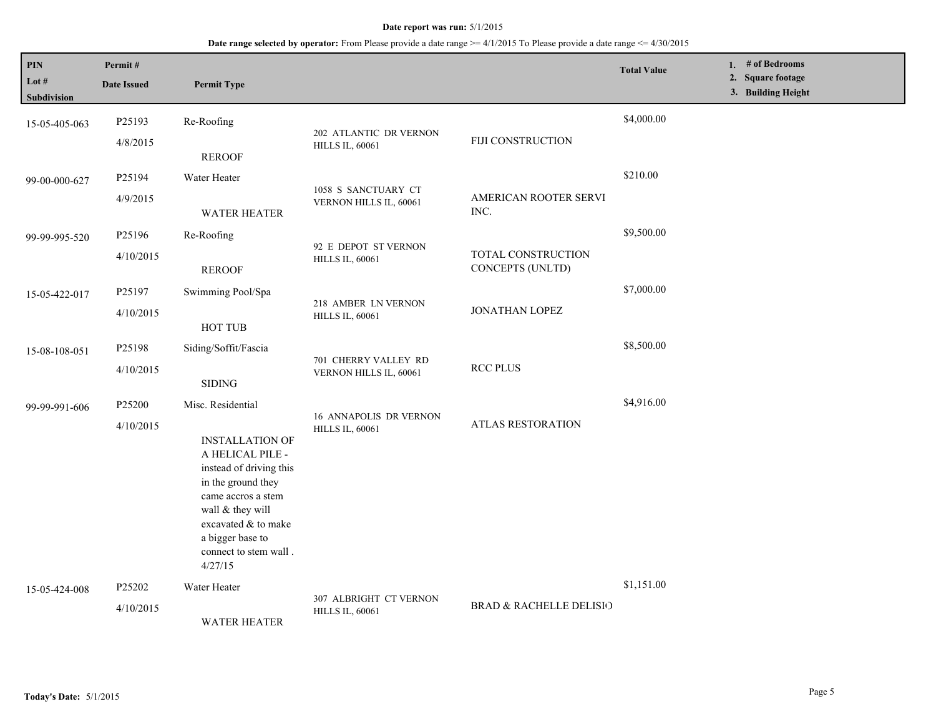**Date range selected by operator:** From Please provide a date range >= 4/1/2015 To Please provide a date range <= 4/30/2015

| PIN<br>Lot #<br><b>Subdivision</b> | Permit#<br><b>Date Issued</b>   | <b>Permit Type</b>                                                                                                                                                                                                                        |                                                         |                                        | <b>Total Value</b> | 1. # of Bedrooms<br><b>Square footage</b><br>2.<br>3. Building Height |
|------------------------------------|---------------------------------|-------------------------------------------------------------------------------------------------------------------------------------------------------------------------------------------------------------------------------------------|---------------------------------------------------------|----------------------------------------|--------------------|-----------------------------------------------------------------------|
| 15-05-405-063                      | P25193<br>4/8/2015              | Re-Roofing<br><b>REROOF</b>                                                                                                                                                                                                               | 202 ATLANTIC DR VERNON<br><b>HILLS IL, 60061</b>        | FIJI CONSTRUCTION                      | \$4,000.00         |                                                                       |
| 99-00-000-627                      | P25194<br>4/9/2015              | Water Heater<br><b>WATER HEATER</b>                                                                                                                                                                                                       | 1058 S SANCTUARY CT<br>VERNON HILLS IL, 60061           | AMERICAN ROOTER SERVI<br>INC.          | \$210.00           |                                                                       |
| 99-99-995-520                      | P25196<br>4/10/2015             | Re-Roofing<br><b>REROOF</b>                                                                                                                                                                                                               | 92 E DEPOT ST VERNON<br><b>HILLS IL, 60061</b>          | TOTAL CONSTRUCTION<br>CONCEPTS (UNLTD) | \$9,500.00         |                                                                       |
| 15-05-422-017                      | P25197<br>4/10/2015             | Swimming Pool/Spa<br>HOT TUB                                                                                                                                                                                                              | 218 AMBER LN VERNON<br><b>HILLS IL, 60061</b>           | JONATHAN LOPEZ                         | \$7,000.00         |                                                                       |
| 15-08-108-051                      | P25198<br>4/10/2015             | Siding/Soffit/Fascia<br><b>SIDING</b>                                                                                                                                                                                                     | 701 CHERRY VALLEY RD<br>VERNON HILLS IL, 60061          | <b>RCC PLUS</b>                        | \$8,500.00         |                                                                       |
| 99-99-991-606                      | P25200<br>4/10/2015             | Misc. Residential<br><b>INSTALLATION OF</b><br>A HELICAL PILE -<br>instead of driving this<br>in the ground they<br>came accros a stem<br>wall & they will<br>excavated & to make<br>a bigger base to<br>connect to stem wall.<br>4/27/15 | <b>16 ANNAPOLIS DR VERNON</b><br><b>HILLS IL, 60061</b> | ATLAS RESTORATION                      | \$4,916.00         |                                                                       |
| 15-05-424-008                      | P <sub>25202</sub><br>4/10/2015 | Water Heater<br><b>WATER HEATER</b>                                                                                                                                                                                                       | 307 ALBRIGHT CT VERNON<br><b>HILLS IL, 60061</b>        | BRAD & RACHELLE DELISIO                | \$1,151.00         |                                                                       |

L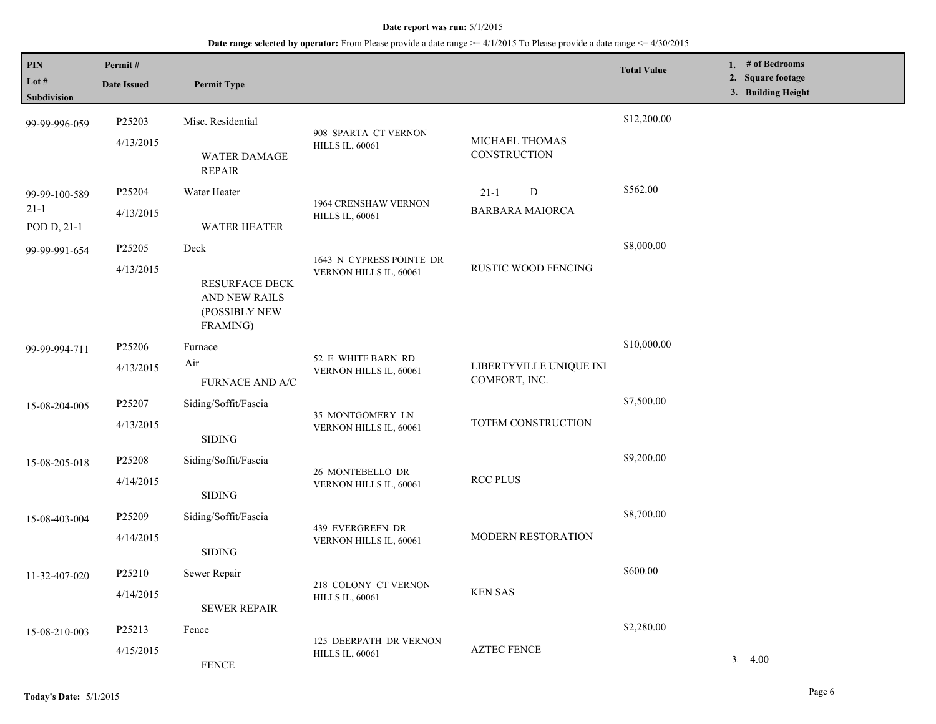| <b>PIN</b><br>Lot #<br>Subdivision | Permit#<br><b>Date Issued</b>                                                    | <b>Permit Type</b>                   |                                                       |                                          | <b>Total Value</b> | 1. $#$ of Bedrooms<br>2. Square footage<br>3. Building Height |
|------------------------------------|----------------------------------------------------------------------------------|--------------------------------------|-------------------------------------------------------|------------------------------------------|--------------------|---------------------------------------------------------------|
| 99-99-996-059                      | P25203                                                                           | Misc. Residential                    | 908 SPARTA CT VERNON                                  |                                          | \$12,200.00        |                                                               |
|                                    | 4/13/2015                                                                        | <b>WATER DAMAGE</b><br><b>REPAIR</b> | <b>HILLS IL, 60061</b>                                | MICHAEL THOMAS<br>CONSTRUCTION           |                    |                                                               |
| 99-99-100-589                      | P25204                                                                           | Water Heater                         |                                                       | ${\bf D}$<br>$21 - 1$                    | \$562.00           |                                                               |
| $21 - 1$                           | 4/13/2015                                                                        |                                      | <b>1964 CRENSHAW VERNON</b><br><b>HILLS IL, 60061</b> | <b>BARBARA MAIORCA</b>                   |                    |                                                               |
| POD D, 21-1                        |                                                                                  | <b>WATER HEATER</b>                  |                                                       |                                          |                    |                                                               |
| 99-99-991-654                      | P <sub>25205</sub>                                                               | Deck                                 | 1643 N CYPRESS POINTE DR                              |                                          | \$8,000.00         |                                                               |
|                                    | 4/13/2015<br>RESURFACE DECK<br><b>AND NEW RAILS</b><br>(POSSIBLY NEW<br>FRAMING) | VERNON HILLS IL, 60061               | RUSTIC WOOD FENCING                                   |                                          |                    |                                                               |
| 99-99-994-711                      | P25206                                                                           | Furnace                              |                                                       |                                          | \$10,000.00        |                                                               |
|                                    | 4/13/2015                                                                        | Air<br>FURNACE AND A/C               | 52 E WHITE BARN RD<br>VERNON HILLS IL, 60061          | LIBERTYVILLE UNIQUE INI<br>COMFORT, INC. |                    |                                                               |
| 15-08-204-005                      | P25207                                                                           | Siding/Soffit/Fascia                 |                                                       | <b>TOTEM CONSTRUCTION</b>                | \$7,500.00         |                                                               |
|                                    | 4/13/2015                                                                        | $\operatorname{SIDING}$              | 35 MONTGOMERY LN<br>VERNON HILLS IL, 60061            |                                          |                    |                                                               |
| 15-08-205-018                      | P25208                                                                           | Siding/Soffit/Fascia                 |                                                       |                                          | \$9,200.00         |                                                               |
|                                    | 4/14/2015                                                                        | <b>SIDING</b>                        | 26 MONTEBELLO DR<br>VERNON HILLS IL, 60061            | <b>RCC PLUS</b>                          |                    |                                                               |
| 15-08-403-004                      | P25209                                                                           | Siding/Soffit/Fascia                 | 439 EVERGREEN DR                                      |                                          | \$8,700.00         |                                                               |
|                                    | 4/14/2015                                                                        | <b>SIDING</b>                        | VERNON HILLS IL, 60061                                | MODERN RESTORATION                       |                    |                                                               |
| 11-32-407-020                      | P25210                                                                           | Sewer Repair                         |                                                       |                                          | \$600.00           |                                                               |
|                                    | 4/14/2015                                                                        | <b>SEWER REPAIR</b>                  | 218 COLONY CT VERNON<br><b>HILLS IL, 60061</b>        | <b>KEN SAS</b>                           |                    |                                                               |
| 15-08-210-003                      | P25213                                                                           | Fence                                |                                                       |                                          | \$2,280.00         |                                                               |
|                                    | 4/15/2015                                                                        | <b>FENCE</b>                         | 125 DEERPATH DR VERNON<br><b>HILLS IL, 60061</b>      | <b>AZTEC FENCE</b>                       |                    | 3.4.00                                                        |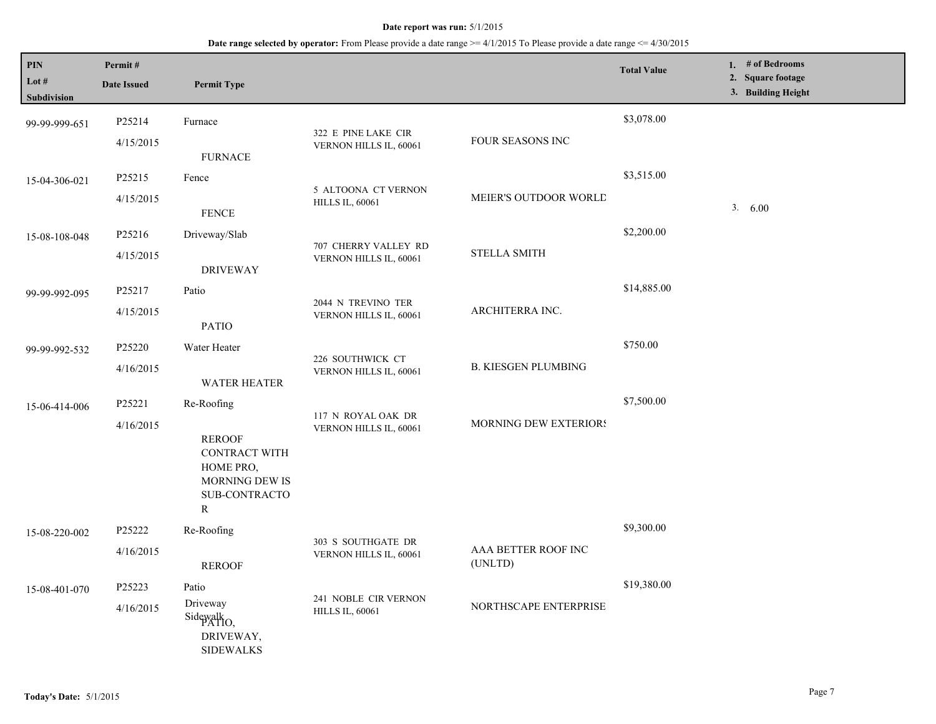| <b>PIN</b><br>Lot #<br>Subdivision | Permit#<br><b>Date Issued</b> | <b>Permit Type</b>                                                                                              |                                                |                                | <b>Total Value</b> | 1. $#$ of Bedrooms<br>2. Square footage<br>3. Building Height |
|------------------------------------|-------------------------------|-----------------------------------------------------------------------------------------------------------------|------------------------------------------------|--------------------------------|--------------------|---------------------------------------------------------------|
| 99-99-999-651                      | P25214<br>4/15/2015           | Furnace<br><b>FURNACE</b>                                                                                       | 322 E PINE LAKE CIR<br>VERNON HILLS IL, 60061  | FOUR SEASONS INC               | \$3,078.00         |                                                               |
| 15-04-306-021                      | P25215<br>4/15/2015           | Fence<br><b>FENCE</b>                                                                                           | 5 ALTOONA CT VERNON<br><b>HILLS IL, 60061</b>  | MEIER'S OUTDOOR WORLD          | \$3,515.00         | 3. 6.00                                                       |
| 15-08-108-048                      | P25216<br>4/15/2015           | Driveway/Slab<br><b>DRIVEWAY</b>                                                                                | 707 CHERRY VALLEY RD<br>VERNON HILLS IL, 60061 | <b>STELLA SMITH</b>            | \$2,200.00         |                                                               |
| 99-99-992-095                      | P25217<br>4/15/2015           | Patio<br><b>PATIO</b>                                                                                           | 2044 N TREVINO TER<br>VERNON HILLS IL, 60061   | ARCHITERRA INC.                | \$14,885.00        |                                                               |
| 99-99-992-532                      | P25220<br>4/16/2015           | Water Heater<br><b>WATER HEATER</b>                                                                             | 226 SOUTHWICK CT<br>VERNON HILLS IL, 60061     | <b>B. KIESGEN PLUMBING</b>     | \$750.00           |                                                               |
| 15-06-414-006                      | P25221<br>4/16/2015           | Re-Roofing<br><b>REROOF</b><br>CONTRACT WITH<br>HOME PRO,<br><b>MORNING DEW IS</b><br><b>SUB-CONTRACTO</b><br>R | 117 N ROYAL OAK DR<br>VERNON HILLS IL, 60061   | <b>MORNING DEW EXTERIORS</b>   | \$7,500.00         |                                                               |
| 15-08-220-002                      | P25222<br>4/16/2015           | Re-Roofing<br><b>REROOF</b>                                                                                     | 303 S SOUTHGATE DR<br>VERNON HILLS IL, 60061   | AAA BETTER ROOF INC<br>(UNLTD) | \$9,300.00         |                                                               |
| 15-08-401-070                      | P25223<br>4/16/2015           | Patio<br>Driveway<br>Sidewalk <sub>O</sub><br>DRIVEWAY,<br><b>SIDEWALKS</b>                                     | 241 NOBLE CIR VERNON<br><b>HILLS IL, 60061</b> | NORTHSCAPE ENTERPRISE          | \$19,380.00        |                                                               |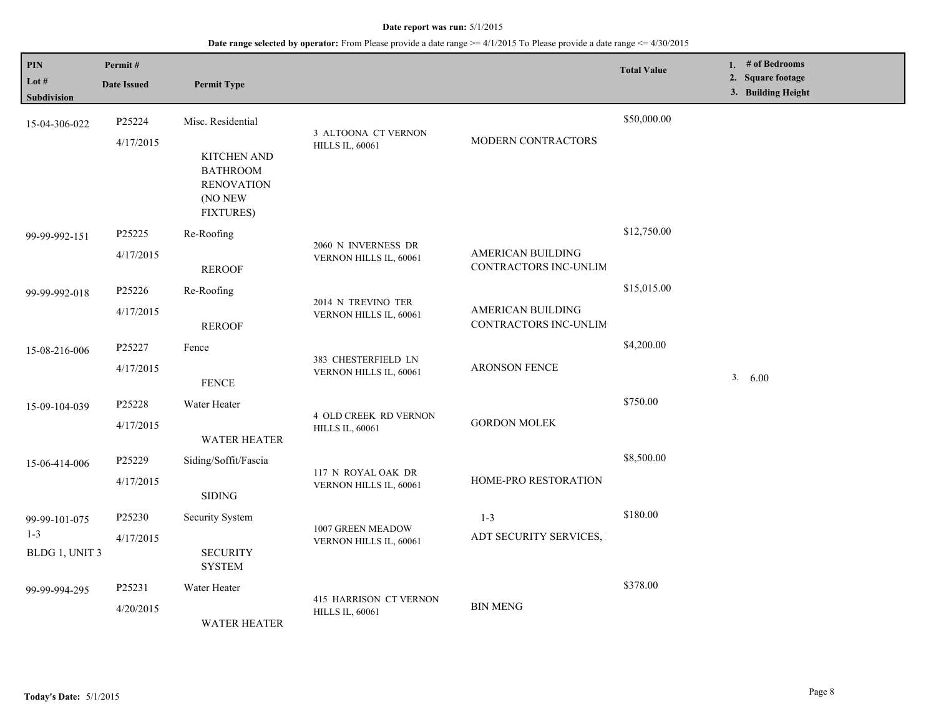| $\mathbf{PIN}$<br>Lot $#$<br><b>Subdivision</b> | Permit#<br><b>Date Issued</b> | <b>Permit Type</b>                                                                                             |                                                        |                                            | <b>Total Value</b> | 1. $#$ of Bedrooms<br>2. Square footage<br>3. Building Height |
|-------------------------------------------------|-------------------------------|----------------------------------------------------------------------------------------------------------------|--------------------------------------------------------|--------------------------------------------|--------------------|---------------------------------------------------------------|
| 15-04-306-022                                   | P25224<br>4/17/2015           | Misc. Residential<br><b>KITCHEN AND</b><br><b>BATHROOM</b><br><b>RENOVATION</b><br>(NO NEW<br><b>FIXTURES)</b> | 3 ALTOONA CT VERNON<br><b>HILLS IL, 60061</b>          | MODERN CONTRACTORS                         | \$50,000.00        |                                                               |
| 99-99-992-151                                   | P25225<br>4/17/2015           | Re-Roofing<br><b>REROOF</b>                                                                                    | 2060 N INVERNESS DR<br>VERNON HILLS IL, 60061          | AMERICAN BUILDING<br>CONTRACTORS INC-UNLIM | \$12,750.00        |                                                               |
| 99-99-992-018                                   | P25226<br>4/17/2015           | Re-Roofing<br><b>REROOF</b>                                                                                    | 2014 N TREVINO TER<br>VERNON HILLS IL, 60061           | AMERICAN BUILDING<br>CONTRACTORS INC-UNLIM | \$15,015.00        |                                                               |
| 15-08-216-006                                   | P25227<br>4/17/2015           | Fence<br><b>FENCE</b>                                                                                          | 383 CHESTERFIELD LN<br>VERNON HILLS IL, 60061          | <b>ARONSON FENCE</b>                       | \$4,200.00         | 3. 6.00                                                       |
| 15-09-104-039                                   | P25228<br>4/17/2015           | Water Heater<br><b>WATER HEATER</b>                                                                            | <b>4 OLD CREEK RD VERNON</b><br><b>HILLS IL, 60061</b> | <b>GORDON MOLEK</b>                        | \$750.00           |                                                               |
| 15-06-414-006                                   | P25229<br>4/17/2015           | Siding/Soffit/Fascia<br>$\operatorname{SIDING}$                                                                | 117 N ROYAL OAK DR<br>VERNON HILLS IL, 60061           | HOME-PRO RESTORATION                       | \$8,500.00         |                                                               |
| 99-99-101-075<br>$1 - 3$<br>BLDG 1, UNIT 3      | P25230<br>4/17/2015           | Security System<br><b>SECURITY</b><br><b>SYSTEM</b>                                                            | 1007 GREEN MEADOW<br>VERNON HILLS IL, 60061            | $1 - 3$<br>ADT SECURITY SERVICES,          | \$180.00           |                                                               |
| 99-99-994-295                                   | P25231<br>4/20/2015           | Water Heater<br><b>WATER HEATER</b>                                                                            | 415 HARRISON CT VERNON<br><b>HILLS IL, 60061</b>       | <b>BIN MENG</b>                            | \$378.00           |                                                               |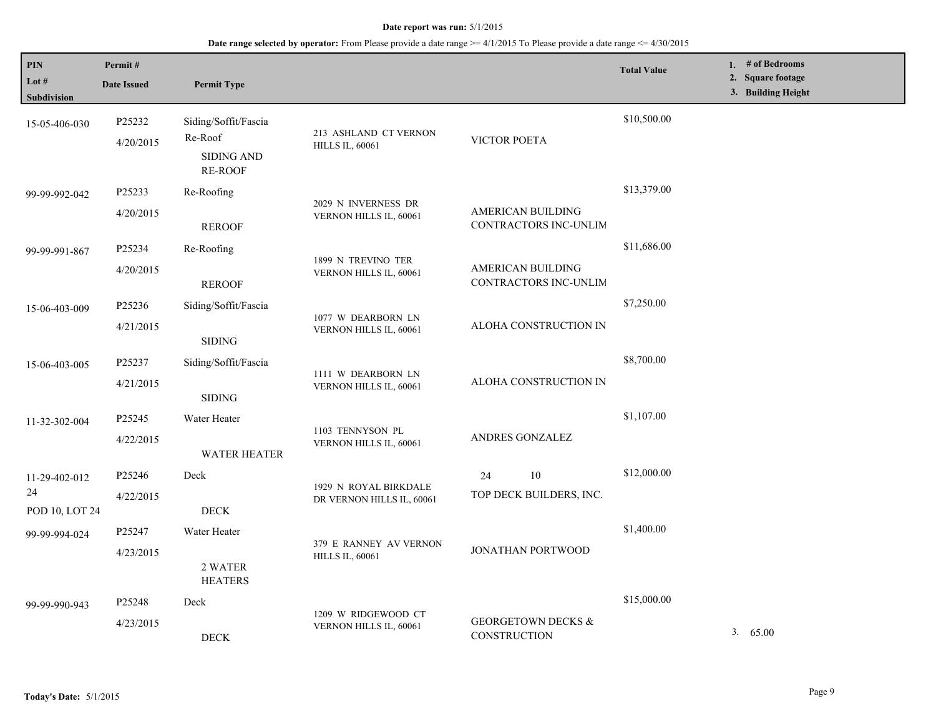| <b>PIN</b><br>Lot #  | Permit#             |                                                      |                                                    |                                               | <b>Total Value</b> | 1. # of Bedrooms<br>2. Square footage |
|----------------------|---------------------|------------------------------------------------------|----------------------------------------------------|-----------------------------------------------|--------------------|---------------------------------------|
| Subdivision          | <b>Date Issued</b>  | <b>Permit Type</b>                                   |                                                    |                                               |                    | 3. Building Height                    |
| 15-05-406-030        | P25232<br>4/20/2015 | Siding/Soffit/Fascia<br>Re-Roof<br><b>SIDING AND</b> | 213 ASHLAND CT VERNON<br><b>HILLS IL, 60061</b>    | VICTOR POETA                                  | \$10,500.00        |                                       |
|                      |                     | <b>RE-ROOF</b>                                       |                                                    |                                               |                    |                                       |
| 99-99-992-042        | P25233              | Re-Roofing                                           | 2029 N INVERNESS DR                                |                                               | \$13,379.00        |                                       |
|                      | 4/20/2015           | <b>REROOF</b>                                        | VERNON HILLS IL, 60061                             | AMERICAN BUILDING<br>CONTRACTORS INC-UNLIM    |                    |                                       |
| 99-99-991-867        | P25234              | Re-Roofing                                           | 1899 N TREVINO TER<br>VERNON HILLS IL, 60061       |                                               | \$11,686.00        |                                       |
|                      | 4/20/2015           | <b>REROOF</b>                                        |                                                    | AMERICAN BUILDING<br>CONTRACTORS INC-UNLIM    |                    |                                       |
| 15-06-403-009        | P25236              | Siding/Soffit/Fascia                                 |                                                    |                                               | \$7,250.00         |                                       |
|                      | 4/21/2015           | $\operatorname{SIDING}$                              | 1077 W DEARBORN LN<br>VERNON HILLS IL, 60061       | ALOHA CONSTRUCTION IN                         |                    |                                       |
| 15-06-403-005        | P25237              | Siding/Soffit/Fascia                                 |                                                    |                                               | \$8,700.00         |                                       |
|                      | 4/21/2015           | $\operatorname{SIDING}$                              | 1111 W DEARBORN LN<br>VERNON HILLS IL, 60061       | ALOHA CONSTRUCTION IN                         |                    |                                       |
| 11-32-302-004        | P25245              | Water Heater                                         |                                                    |                                               | \$1,107.00         |                                       |
|                      | 4/22/2015           | <b>WATER HEATER</b>                                  | 1103 TENNYSON PL<br>VERNON HILLS IL, 60061         | ANDRES GONZALEZ                               |                    |                                       |
| 11-29-402-012        | P25246              | Deck                                                 |                                                    | $10\,$<br>24                                  | \$12,000.00        |                                       |
| 24<br>POD 10, LOT 24 | 4/22/2015           | $\rm{DECK}$                                          | 1929 N ROYAL BIRKDALE<br>DR VERNON HILLS IL, 60061 | TOP DECK BUILDERS, INC.                       |                    |                                       |
| 99-99-994-024        | P25247              | Water Heater                                         |                                                    |                                               | \$1,400.00         |                                       |
|                      | 4/23/2015           | 2 WATER<br><b>HEATERS</b>                            | 379 E RANNEY AV VERNON<br><b>HILLS IL, 60061</b>   | JONATHAN PORTWOOD                             |                    |                                       |
| 99-99-990-943        | P25248              | Deck                                                 |                                                    |                                               | \$15,000.00        |                                       |
|                      | 4/23/2015           | <b>DECK</b>                                          | 1209 W RIDGEWOOD CT<br>VERNON HILLS IL, 60061      | <b>GEORGETOWN DECKS &amp;</b><br>CONSTRUCTION |                    | 3.65.00                               |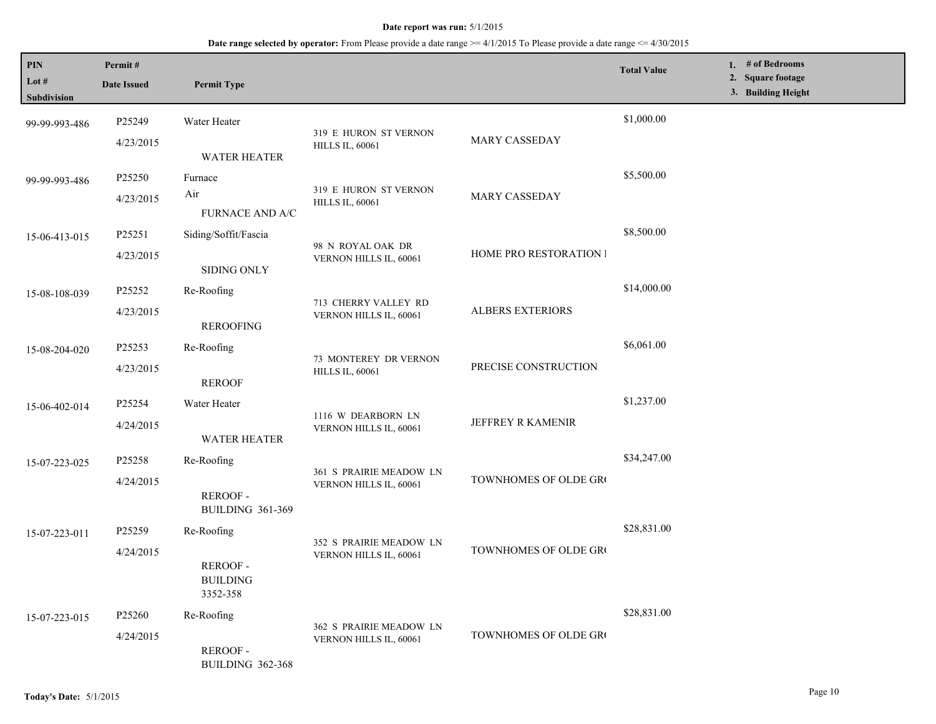| PIN<br>Lot $#$<br><b>Subdivision</b> | Permit#<br><b>Date Issued</b> | <b>Permit Type</b>                            |                                                   |                         | <b>Total Value</b> | 1. # of Bedrooms<br>2. Square footage<br>3. Building Height |
|--------------------------------------|-------------------------------|-----------------------------------------------|---------------------------------------------------|-------------------------|--------------------|-------------------------------------------------------------|
| 99-99-993-486                        | P25249                        | Water Heater                                  |                                                   |                         | \$1,000.00         |                                                             |
|                                      | 4/23/2015                     | <b>WATER HEATER</b>                           | 319 E HURON ST VERNON<br><b>HILLS IL, 60061</b>   | MARY CASSEDAY           |                    |                                                             |
| 99-99-993-486                        | P25250                        | Furnace                                       |                                                   |                         | \$5,500.00         |                                                             |
|                                      | 4/23/2015                     | Air<br>FURNACE AND A/C                        | 319 E HURON ST VERNON<br><b>HILLS IL, 60061</b>   | MARY CASSEDAY           |                    |                                                             |
| 15-06-413-015                        | P25251                        | Siding/Soffit/Fascia                          |                                                   |                         | \$8,500.00         |                                                             |
|                                      | 4/23/2015                     | <b>SIDING ONLY</b>                            | 98 N ROYAL OAK DR<br>VERNON HILLS IL, 60061       | HOME PRO RESTORATION I  |                    |                                                             |
| 15-08-108-039                        | P25252                        | Re-Roofing                                    |                                                   |                         | \$14,000.00        |                                                             |
|                                      | 4/23/2015                     | <b>REROOFING</b>                              | 713 CHERRY VALLEY RD<br>VERNON HILLS IL, 60061    | <b>ALBERS EXTERIORS</b> |                    |                                                             |
| 15-08-204-020                        | P25253                        | Re-Roofing                                    |                                                   |                         | \$6,061.00         |                                                             |
|                                      | 4/23/2015                     | <b>REROOF</b>                                 | 73 MONTEREY DR VERNON<br><b>HILLS IL, 60061</b>   | PRECISE CONSTRUCTION    |                    |                                                             |
| 15-06-402-014                        | P25254                        | Water Heater                                  |                                                   | JEFFREY R KAMENIR       | \$1,237.00         |                                                             |
|                                      | 4/24/2015                     | <b>WATER HEATER</b>                           | 1116 W DEARBORN LN<br>VERNON HILLS IL, 60061      |                         |                    |                                                             |
| 15-07-223-025                        | P25258                        | Re-Roofing                                    |                                                   |                         | \$34,247.00        |                                                             |
|                                      | 4/24/2015                     | <b>REROOF-</b><br><b>BUILDING 361-369</b>     | 361 S PRAIRIE MEADOW LN<br>VERNON HILLS IL, 60061 | TOWNHOMES OF OLDE GRO   |                    |                                                             |
| 15-07-223-011                        | P25259                        | Re-Roofing                                    |                                                   |                         | \$28,831.00        |                                                             |
|                                      | 4/24/2015                     | <b>REROOF-</b><br><b>BUILDING</b><br>3352-358 | 352 S PRAIRIE MEADOW LN<br>VERNON HILLS IL, 60061 | TOWNHOMES OF OLDE GRO   |                    |                                                             |
| 15-07-223-015                        | P25260                        | Re-Roofing                                    |                                                   |                         | \$28,831.00        |                                                             |
|                                      | 4/24/2015                     | REROOF-<br><b>BUILDING 362-368</b>            | 362 S PRAIRIE MEADOW LN<br>VERNON HILLS IL, 60061 | TOWNHOMES OF OLDE GRO   |                    |                                                             |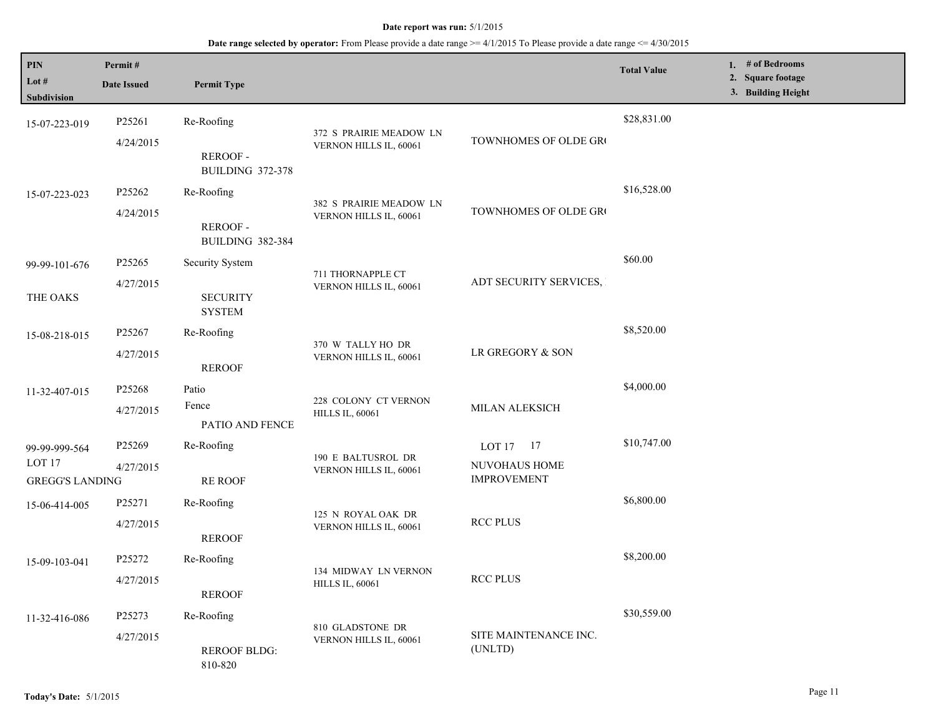| <b>PIN</b><br>Lot $#$  | Permit#<br><b>Date Issued</b>               | <b>Permit Type</b>                 |                                                   |                                  | <b>Total Value</b> | 1. # of Bedrooms<br>2. Square footage<br>3. Building Height |
|------------------------|---------------------------------------------|------------------------------------|---------------------------------------------------|----------------------------------|--------------------|-------------------------------------------------------------|
| Subdivision            |                                             |                                    |                                                   |                                  |                    |                                                             |
| 15-07-223-019          | P25261                                      | Re-Roofing                         | 372 S PRAIRIE MEADOW LN                           |                                  | \$28,831.00        |                                                             |
|                        | 4/24/2015                                   | REROOF-<br><b>BUILDING 372-378</b> | VERNON HILLS IL, 60061                            | TOWNHOMES OF OLDE GRO            |                    |                                                             |
| 15-07-223-023          | P25262                                      | Re-Roofing                         |                                                   |                                  | \$16,528.00        |                                                             |
|                        | 4/24/2015                                   | REROOF-<br><b>BUILDING 382-384</b> | 382 S PRAIRIE MEADOW LN<br>VERNON HILLS IL, 60061 | TOWNHOMES OF OLDE GRO            |                    |                                                             |
| 99-99-101-676          | P25265                                      | Security System                    |                                                   |                                  | \$60.00            |                                                             |
| THE OAKS               | 4/27/2015                                   | <b>SECURITY</b><br><b>SYSTEM</b>   | 711 THORNAPPLE CT<br>VERNON HILLS IL, 60061       | ADT SECURITY SERVICES,           |                    |                                                             |
| 15-08-218-015          | P25267                                      | Re-Roofing                         |                                                   |                                  | \$8,520.00         |                                                             |
|                        | 4/27/2015                                   | <b>REROOF</b>                      | 370 W TALLY HO DR<br>VERNON HILLS IL, 60061       | LR GREGORY & SON                 |                    |                                                             |
| 11-32-407-015          | P25268                                      | Patio                              |                                                   | MILAN ALEKSICH                   | \$4,000.00         |                                                             |
|                        | 4/27/2015                                   | Fence<br>PATIO AND FENCE           | 228 COLONY CT VERNON<br><b>HILLS IL, 60061</b>    |                                  |                    |                                                             |
| 99-99-999-564          | P25269                                      | Re-Roofing                         |                                                   | LOT $17 \t17$                    | \$10,747.00        |                                                             |
| LOT <sub>17</sub>      | 4/27/2015                                   |                                    | 190 E BALTUSROL DR<br>VERNON HILLS IL, 60061      | NUVOHAUS HOME                    |                    |                                                             |
| <b>GREGG'S LANDING</b> |                                             | <b>RE ROOF</b>                     |                                                   | <b>IMPROVEMENT</b>               |                    |                                                             |
| 15-06-414-005          | P25271                                      | Re-Roofing                         |                                                   |                                  | \$6,800.00         |                                                             |
|                        | 4/27/2015                                   | <b>REROOF</b>                      | 125 N ROYAL OAK DR<br>VERNON HILLS IL, 60061      | <b>RCC PLUS</b>                  |                    |                                                             |
| 15-09-103-041          | P25272                                      | Re-Roofing                         |                                                   |                                  | \$8,200.00         |                                                             |
|                        | 4/27/2015                                   | <b>REROOF</b>                      | 134 MIDWAY LN VERNON<br><b>HILLS IL, 60061</b>    | <b>RCC PLUS</b>                  |                    |                                                             |
| 11-32-416-086          | P25273                                      | Re-Roofing                         |                                                   |                                  | \$30,559.00        |                                                             |
|                        | 4/27/2015<br><b>REROOF BLDG:</b><br>810-820 |                                    | 810 GLADSTONE DR<br>VERNON HILLS IL, 60061        | SITE MAINTENANCE INC.<br>(UNLTD) |                    |                                                             |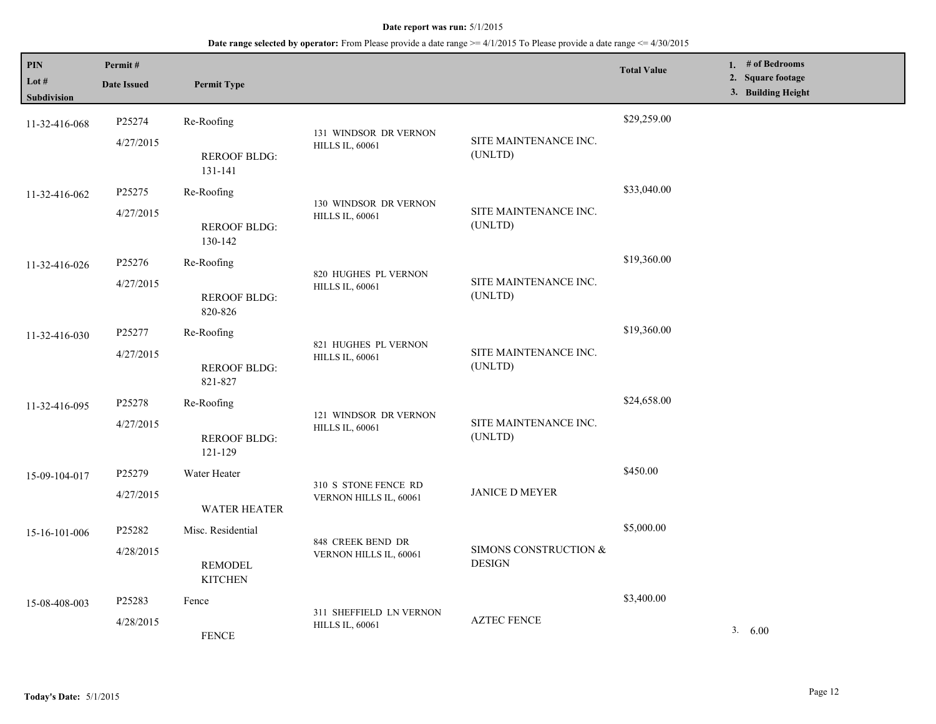| PIN<br>Lot #<br>Subdivision | Permit#<br><b>Date Issued</b> | <b>Permit Type</b>                                    |                                                   |                                        | <b>Total Value</b> | 1. $#$ of Bedrooms<br>2. Square footage<br>3. Building Height |
|-----------------------------|-------------------------------|-------------------------------------------------------|---------------------------------------------------|----------------------------------------|--------------------|---------------------------------------------------------------|
| 11-32-416-068               | P25274<br>4/27/2015           | Re-Roofing<br><b>REROOF BLDG:</b>                     | 131 WINDSOR DR VERNON<br><b>HILLS IL, 60061</b>   | SITE MAINTENANCE INC.<br>(UNLTD)       | \$29,259.00        |                                                               |
| 11-32-416-062               | P25275<br>4/27/2015           | 131-141<br>Re-Roofing<br><b>REROOF BLDG:</b>          | 130 WINDSOR DR VERNON<br><b>HILLS IL, 60061</b>   | SITE MAINTENANCE INC.<br>(UNLTD)       | \$33,040.00        |                                                               |
| 11-32-416-026               | P25276<br>4/27/2015           | 130-142<br>Re-Roofing<br><b>REROOF BLDG:</b>          | 820 HUGHES PL VERNON<br><b>HILLS IL, 60061</b>    | SITE MAINTENANCE INC.<br>(UNLTD)       | \$19,360.00        |                                                               |
| 11-32-416-030               | P25277<br>4/27/2015           | 820-826<br>Re-Roofing<br><b>REROOF BLDG:</b>          | 821 HUGHES PL VERNON<br><b>HILLS IL, 60061</b>    | SITE MAINTENANCE INC.<br>(UNLTD)       | \$19,360.00        |                                                               |
| 11-32-416-095               | P25278<br>4/27/2015           | 821-827<br>Re-Roofing<br><b>REROOF BLDG:</b>          | 121 WINDSOR DR VERNON<br><b>HILLS IL, 60061</b>   | SITE MAINTENANCE INC.<br>(UNLTD)       | \$24,658.00        |                                                               |
| 15-09-104-017               | P25279<br>4/27/2015           | 121-129<br>Water Heater<br><b>WATER HEATER</b>        | 310 S STONE FENCE RD<br>VERNON HILLS IL, 60061    | <b>JANICE D MEYER</b>                  | \$450.00           |                                                               |
| 15-16-101-006               | P25282<br>4/28/2015           | Misc. Residential<br><b>REMODEL</b><br><b>KITCHEN</b> | 848 CREEK BEND DR<br>VERNON HILLS IL, 60061       | SIMONS CONSTRUCTION &<br><b>DESIGN</b> | \$5,000.00         |                                                               |
| 15-08-408-003               | P25283<br>4/28/2015           | Fence<br><b>FENCE</b>                                 | 311 SHEFFIELD LN VERNON<br><b>HILLS IL, 60061</b> | <b>AZTEC FENCE</b>                     | \$3,400.00         | 3.600                                                         |